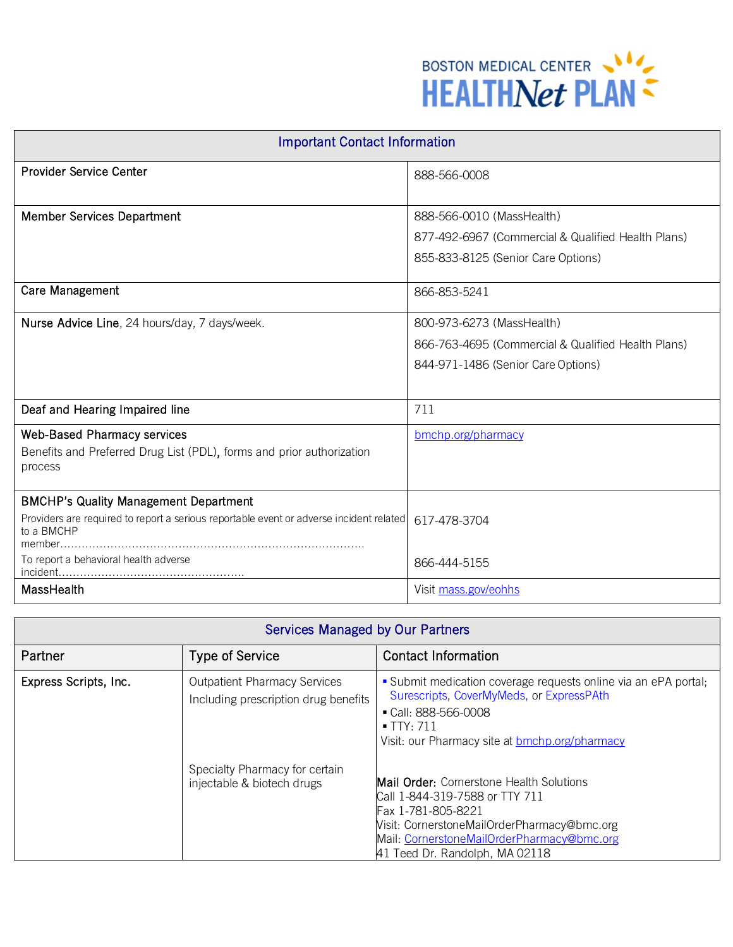

| <b>Important Contact Information</b>                                                                  |                                                    |  |
|-------------------------------------------------------------------------------------------------------|----------------------------------------------------|--|
| <b>Provider Service Center</b>                                                                        | 888-566-0008                                       |  |
|                                                                                                       |                                                    |  |
| <b>Member Services Department</b>                                                                     | 888-566-0010 (MassHealth)                          |  |
|                                                                                                       | 877-492-6967 (Commercial & Qualified Health Plans) |  |
|                                                                                                       | 855-833-8125 (Senior Care Options)                 |  |
| <b>Care Management</b>                                                                                | 866-853-5241                                       |  |
| Nurse Advice Line, 24 hours/day, 7 days/week.                                                         | 800-973-6273 (MassHealth)                          |  |
|                                                                                                       | 866-763-4695 (Commercial & Qualified Health Plans) |  |
|                                                                                                       | 844-971-1486 (Senior Care Options)                 |  |
|                                                                                                       |                                                    |  |
| Deaf and Hearing Impaired line                                                                        | 711                                                |  |
| <b>Web-Based Pharmacy services</b>                                                                    | bmchp.org/pharmacy                                 |  |
| Benefits and Preferred Drug List (PDL), forms and prior authorization<br>process                      |                                                    |  |
| <b>BMCHP's Quality Management Department</b>                                                          |                                                    |  |
| Providers are required to report a serious reportable event or adverse incident related<br>to a BMCHP | 617-478-3704                                       |  |
| To report a behavioral health adverse                                                                 | 866-444-5155                                       |  |
| MassHealth                                                                                            | Visit mass.gov/eohhs                               |  |

## Services Managed by Our Partners

| Partner               | <b>Type of Service</b>                                                      | <b>Contact Information</b>                                                                                                                                                                                                      |
|-----------------------|-----------------------------------------------------------------------------|---------------------------------------------------------------------------------------------------------------------------------------------------------------------------------------------------------------------------------|
| Express Scripts, Inc. | <b>Outpatient Pharmacy Services</b><br>Including prescription drug benefits | • Submit medication coverage requests online via an ePA portal;<br>Surescripts, CoverMyMeds, or ExpressPAth<br>$\blacksquare$ Call: 888-566-0008<br>$\blacksquare$ TTY: 711<br>Visit: our Pharmacy site at bmchp.org/pharmacy   |
|                       | Specialty Pharmacy for certain<br>injectable & biotech drugs                | Mail Order: Cornerstone Health Solutions<br>Call 1-844-319-7588 or TTY 711<br>Fax 1-781-805-8221<br>Visit: CornerstoneMailOrderPharmacy@bmc.org<br>Mail: CornerstoneMailOrderPharmacy@bmc.org<br>41 Teed Dr. Randolph, MA 02118 |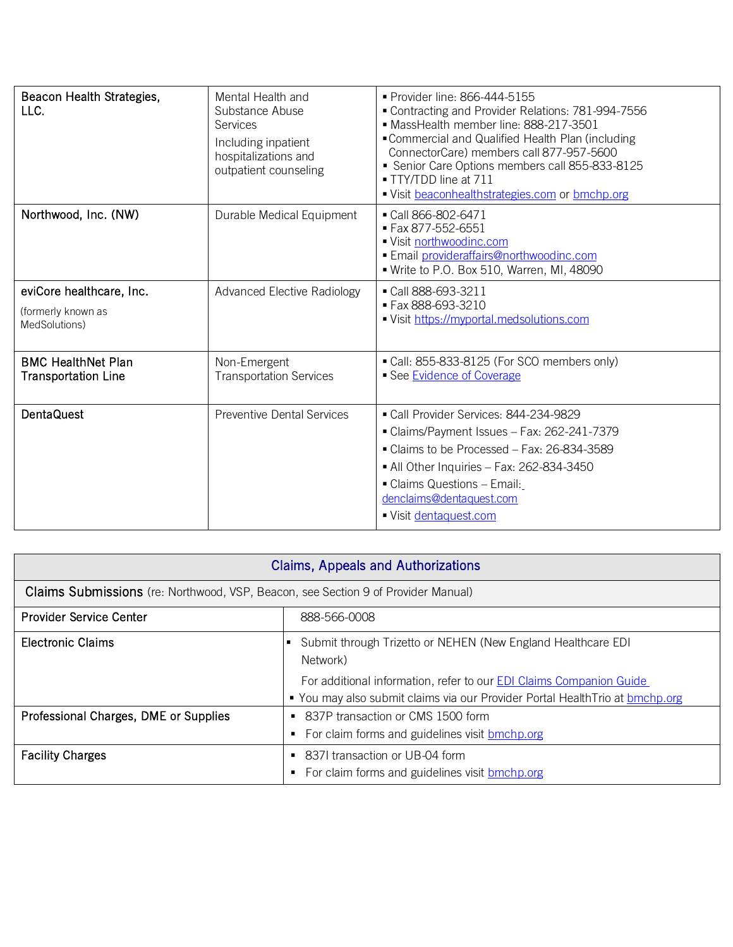| Beacon Health Strategies,<br>LLC.                       | Mental Health and<br>Substance Abuse<br><b>Services</b><br>Including inpatient<br>hospitalizations and<br>outpatient counseling | • Provider line: 866-444-5155<br>Contracting and Provider Relations: 781-994-7556<br>MassHealth member line: 888-217-3501<br>• Commercial and Qualified Health Plan (including<br>ConnectorCare) members call 877-957-5600<br>Senior Care Options members call 855-833-8125<br>■ TTY/TDD line at 711<br>Visit beaconhealthstrategies.com or bmchp.org |
|---------------------------------------------------------|---------------------------------------------------------------------------------------------------------------------------------|-------------------------------------------------------------------------------------------------------------------------------------------------------------------------------------------------------------------------------------------------------------------------------------------------------------------------------------------------------|
| Northwood, Inc. (NW)                                    | Durable Medical Equipment                                                                                                       | ■ Call 866-802-6471<br>Fax 877-552-6551<br>■ Visit northwoodinc.com<br>· Email provideraffairs@northwoodinc.com<br>. Write to P.O. Box 510, Warren, MI, 48090                                                                                                                                                                                         |
| eviCore healthcare, Inc.                                | <b>Advanced Elective Radiology</b>                                                                                              | Call 888-693-3211                                                                                                                                                                                                                                                                                                                                     |
| (formerly known as<br>MedSolutions)                     |                                                                                                                                 | Fax 888-693-3210<br>Visit https://myportal.medsolutions.com                                                                                                                                                                                                                                                                                           |
| <b>BMC HealthNet Plan</b><br><b>Transportation Line</b> | Non-Emergent<br><b>Transportation Services</b>                                                                                  | Call: 855-833-8125 (For SCO members only)<br>• See Evidence of Coverage                                                                                                                                                                                                                                                                               |
| <b>DentaQuest</b>                                       | <b>Preventive Dental Services</b>                                                                                               | Call Provider Services: 844-234-9829                                                                                                                                                                                                                                                                                                                  |
|                                                         |                                                                                                                                 | Claims/Payment Issues - Fax: 262-241-7379                                                                                                                                                                                                                                                                                                             |
|                                                         |                                                                                                                                 | • Claims to be Processed - Fax: 26-834-3589                                                                                                                                                                                                                                                                                                           |
|                                                         |                                                                                                                                 | • All Other Inquiries - Fax: 262-834-3450                                                                                                                                                                                                                                                                                                             |
|                                                         |                                                                                                                                 | • Claims Questions - Email:<br>denclaims@dentaquest.com                                                                                                                                                                                                                                                                                               |
|                                                         |                                                                                                                                 | ■ Visit dentaquest.com                                                                                                                                                                                                                                                                                                                                |
|                                                         |                                                                                                                                 |                                                                                                                                                                                                                                                                                                                                                       |

| <b>Claims, Appeals and Authorizations</b>                                         |                                                                                                                                                                  |  |  |  |
|-----------------------------------------------------------------------------------|------------------------------------------------------------------------------------------------------------------------------------------------------------------|--|--|--|
| Claims Submissions (re: Northwood, VSP, Beacon, see Section 9 of Provider Manual) |                                                                                                                                                                  |  |  |  |
| <b>Provider Service Center</b>                                                    | 888-566-0008                                                                                                                                                     |  |  |  |
| <b>Electronic Claims</b>                                                          | Submit through Trizetto or NEHEN (New England Healthcare EDI<br>Network)                                                                                         |  |  |  |
|                                                                                   | For additional information, refer to our <b>EDI Claims Companion Guide</b><br>You may also submit claims via our Provider Portal Health Trio at <b>bmchp.org</b> |  |  |  |
| Professional Charges, DME or Supplies                                             | 837P transaction or CMS 1500 form<br>$\blacksquare$<br>For claim forms and guidelines visit bmchp.org<br>٠                                                       |  |  |  |
| <b>Facility Charges</b>                                                           | 8371 transaction or UB-04 form<br>п.<br>For claim forms and guidelines visit <b>bmchp.org</b><br>٠                                                               |  |  |  |